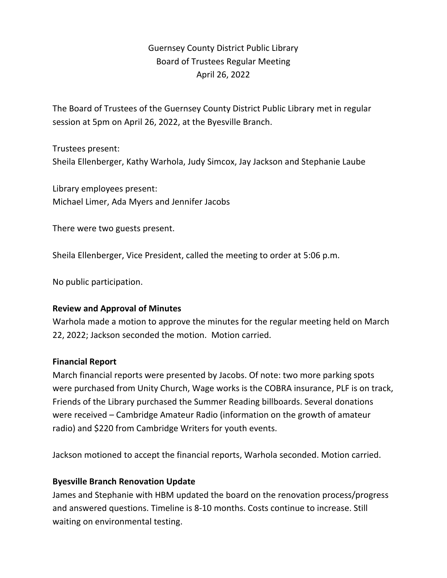# Guernsey County District Public Library Board of Trustees Regular Meeting April 26, 2022

The Board of Trustees of the Guernsey County District Public Library met in regular session at 5pm on April 26, 2022, at the Byesville Branch.

Trustees present: Sheila Ellenberger, Kathy Warhola, Judy Simcox, Jay Jackson and Stephanie Laube

Library employees present: Michael Limer, Ada Myers and Jennifer Jacobs

There were two guests present.

Sheila Ellenberger, Vice President, called the meeting to order at 5:06 p.m.

No public participation.

#### **Review and Approval of Minutes**

Warhola made a motion to approve the minutes for the regular meeting held on March 22, 2022; Jackson seconded the motion. Motion carried.

#### **Financial Report**

March financial reports were presented by Jacobs. Of note: two more parking spots were purchased from Unity Church, Wage works is the COBRA insurance, PLF is on track, Friends of the Library purchased the Summer Reading billboards. Several donations were received – Cambridge Amateur Radio (information on the growth of amateur radio) and \$220 from Cambridge Writers for youth events.

Jackson motioned to accept the financial reports, Warhola seconded. Motion carried.

## **Byesville Branch Renovation Update**

James and Stephanie with HBM updated the board on the renovation process/progress and answered questions. Timeline is 8-10 months. Costs continue to increase. Still waiting on environmental testing.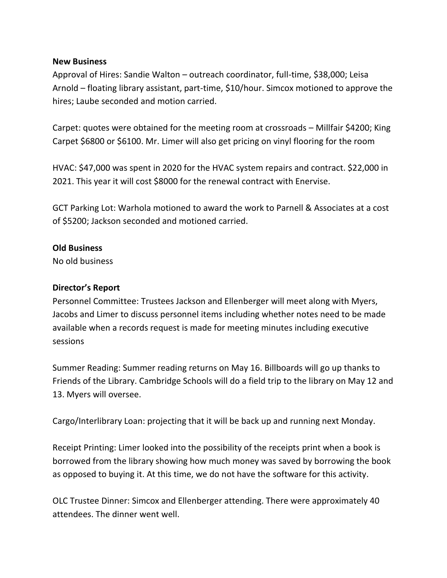#### **New Business**

Approval of Hires: Sandie Walton – outreach coordinator, full-time, \$38,000; Leisa Arnold – floating library assistant, part-time, \$10/hour. Simcox motioned to approve the hires; Laube seconded and motion carried.

Carpet: quotes were obtained for the meeting room at crossroads – Millfair \$4200; King Carpet \$6800 or \$6100. Mr. Limer will also get pricing on vinyl flooring for the room

HVAC: \$47,000 was spent in 2020 for the HVAC system repairs and contract. \$22,000 in 2021. This year it will cost \$8000 for the renewal contract with Enervise.

GCT Parking Lot: Warhola motioned to award the work to Parnell & Associates at a cost of \$5200; Jackson seconded and motioned carried.

#### **Old Business**

No old business

### **Director's Report**

Personnel Committee: Trustees Jackson and Ellenberger will meet along with Myers, Jacobs and Limer to discuss personnel items including whether notes need to be made available when a records request is made for meeting minutes including executive sessions

Summer Reading: Summer reading returns on May 16. Billboards will go up thanks to Friends of the Library. Cambridge Schools will do a field trip to the library on May 12 and 13. Myers will oversee.

Cargo/Interlibrary Loan: projecting that it will be back up and running next Monday.

Receipt Printing: Limer looked into the possibility of the receipts print when a book is borrowed from the library showing how much money was saved by borrowing the book as opposed to buying it. At this time, we do not have the software for this activity.

OLC Trustee Dinner: Simcox and Ellenberger attending. There were approximately 40 attendees. The dinner went well.